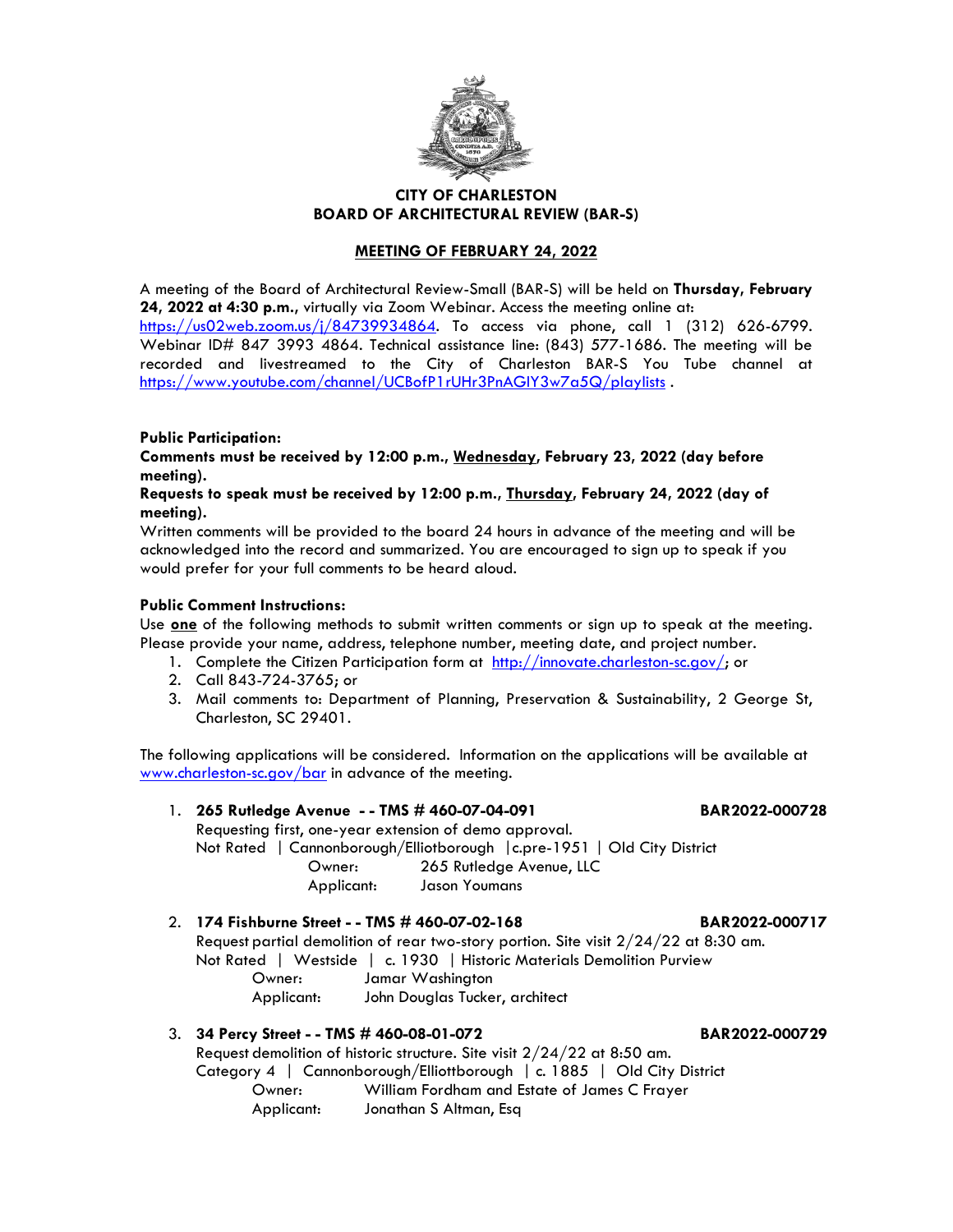

### **CITY OF CHARLESTON BOARD OF ARCHITECTURAL REVIEW (BAR-S)**

### **MEETING OF FEBRUARY 24, 2022**

A meeting of the Board of Architectural Review-Small (BAR-S) will be held on **Thursday, February 24, 2022 at 4:30 p.m.,** virtually via Zoom Webinar. Access the meeting online at:

[https://us02web.zoom.us/j/84739934864.](https://us02web.zoom.us/j/84739934864) To access via phone, call 1 (312) 626-6799. Webinar ID# 847 3993 4864. Technical assistance line: (843) 577-1686. The meeting will be recorded and livestreamed to the City of Charleston BAR-S You Tube channel at <https://www.youtube.com/channel/UCBofP1rUHr3PnAGIY3w7a5Q/playlists> .

### **Public Participation:**

**Comments must be received by 12:00 p.m., Wednesday, February 23, 2022 (day before meeting).**

### **Requests to speak must be received by 12:00 p.m., Thursday, February 24, 2022 (day of meeting).**

Written comments will be provided to the board 24 hours in advance of the meeting and will be acknowledged into the record and summarized. You are encouraged to sign up to speak if you would prefer for your full comments to be heard aloud.

### **Public Comment Instructions:**

Use **one** of the following methods to submit written comments or sign up to speak at the meeting. Please provide your name, address, telephone number, meeting date, and project number.

- 1. Complete the Citizen Participation form at [http://innovate.charleston-sc.gov/;](http://innovate.charleston-sc.gov/) or
- 2. Call 843-724-3765; or
- 3. Mail comments to: Department of Planning, Preservation & Sustainability, 2 George St, Charleston, SC 29401.

The following applications will be considered. Information on the applications will be available at [www.charleston-sc.gov/bar](http://www.charleston-sc.gov/bar) in advance of the meeting.

1. **265 Rutledge Avenue - - TMS # 460-07-04-091 BAR2022-000728** Requesting first, one-year extension of demo approval. Not Rated | Cannonborough/Elliotborough |c.pre-1951 | Old City District Owner: 265 Rutledge Avenue, LLC Applicant: Jason Youmans

2. **174 Fishburne Street - - TMS # 460-07-02-168 BAR2022-000717** Request partial demolition of rear two-story portion. Site visit 2/24/22 at 8:30 am. Not Rated | Westside | c. 1930 | Historic Materials Demolition Purview Owner: Jamar Washington Applicant: John Douglas Tucker, architect

## 3. **34 Percy Street - - TMS # 460-08-01-072 BAR2022-000729**

Request demolition of historic structure. Site visit  $2/24/22$  at 8:50 am.

Category 4 | Cannonborough/Elliottborough | c. 1885 | Old City District Owner: William Fordham and Estate of James C Frayer Applicant: Jonathan S Altman, Esq